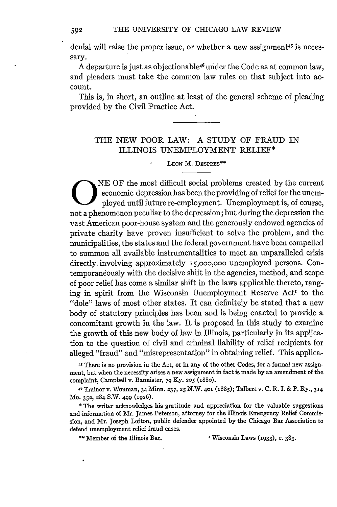denial will raise the proper issue, or whether a new assignment<sup>45</sup> is necessary.

A departure is just as objectionable<sup>46</sup> under the Code as at common law, and pleaders must take the common law rules on that subject into account.

This is, in short, an outline at least of the general scheme of pleading provided by the Civil Practice Act.

# THE NEW POOR LAW: A STUDY OF FRAUD IN ILLINOIS UNEMPLOYMENT RELIEF\*

#### LEON M. DESPRES\*\*

NE OF the most difficult social problems created by the current economic depression has been the providing of relief for the unemployed until future re-employment. Unemployment is, of course, not a phenomenon peculiar to the depression; but during the depression the vast American poor-house system and the generously endowed agencies of private charity have proven insufficient to solve the problem, and the municipalities, the states and the federal government have been compelled to summon all available instrumentalities to meet an unparalleled crisis directly. involving approximately i5,ooo,ooo unemployed persons. Contemporaneously with the decisive shift in the agencies, method, and scope of poor relief has come a similar shift in the laws applicable thereto, ranging in spirit from the Wisconsin Unemployment Reserve Act" to the "dole" laws of most other states. It can definitely be stated that a new body of statutory principles has been and is being enacted to provide a concomitant growth in the law. It is proposed in this study to examine the growth of this new body of law in Illinois, particularly in its application to the question of civil and criminal liability of relief recipients for alleged "fraud" and "misrepresentation" in obtaining relief. This applica-

4s There is **no** provision in the Act, **or** in any **of** the **other** Codes, **for** a formal new assignment, but when the necessity arises a new assignment in fact is made **by** an amendment **of** the complaint, Campbell v. Bannister, **79 Ky. 205 (i88o).**

41 Trainor v. Wouman, 34 Minn. **237, 25** N.W. **4o** (i885); Talbert **v. C. R.** I. **&** P. Ry., **<sup>314</sup> Mo. 352,** 284 S.W. 499 (1926).

**\*** The writer acknowledges his gratitude **and** appreciation **for** the valuable suggestions and -information **of** Mr. James Peterson, attorney **for** the Illinois Emergency Relief Commission, **and** Mr. Joseph Lofton, public defender appointed **by** the Chicago Bar Association **to** defend unemployment relief **fraud** cases.

**\*\*** Member **of** the Illinois Bar. 'Wisconsin Laws (I933), **c. 383.**

592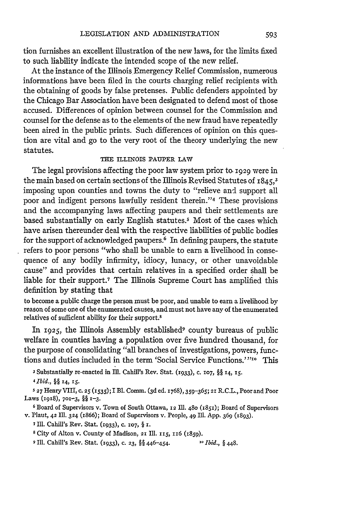tion furnishes an excellent illustration of the new laws, for the limits fixed to such liability indicate the intended scope of the new relief.

At the instance of the Illinois Emergency Relief Commission, numerous informations have been filed in the courts charging relief recipients with the obtaining of goods by false pretenses. Public defenders appointed by the Chicago Bar Association have been designated to defend most of those accused. Differences of opinion between counsel for the Commission and counsel for the defense as to the elements of the new fraud have repeatedly been aired in the public prints. Such differences of opinion on this question are vital and go to the very root of the theory underlying the new statutes.

## **THE** ILLINOIS PAUPER LAW

The legal provisions affecting the poor law system prior to- 1929 were in the main based on certain sections of the Illinois Revised Statutes of 1845,3 imposing upon counties and towns the duty to "relieve and support all poor and indigent persons lawfully resident therein."<sup>4</sup> These provisions and the accompanying laws affecting paupers and their settlements are based substantially on early English statutes.<sup>5</sup> Most of the cases which have arisen thereunder deal with the respective liabilities of public bodies for the support of acknowledged paupers.<sup>6</sup> In defining paupers, the statute refers to poor persons "who shall be unable to earn a livelihood in consequence of any bodily infirmity, idiocy, lunacy, or other unavoidable cause" and provides that certain relatives in a specified order shall be liable for their support.7 The Illinois Supreme Court has amplified this definition by stating that

to become a public charge the person must be poor, and unable to earn a livelihood by reason of some one of the enumerated causes, and must not have any of the enumerated relatives of sufficient ability for their support.<sup>8</sup>

In 1925, the Illinois Assembly established<sup>9</sup> county bureaus of public welfare in counties having a population over five hundred thousand, for the purpose of consolidating "all branches of investigations, powers, functions and duties included in the term 'Social Service Functions.'"<sup>10</sup> This

Substantially re-enacted in Ill. Cahill's Rev. Stat. **(1933),** c. **107,** §§ 14, **i5.**

*4Ibid.,* **§§** 14, **13.**

**- 27** Henry **VIII,** c. 25 (I535);I **BI.** Comm. **(3d** ed. **1768), 359-365;** 21 R.C.L., Poor and Poor Laws (i918), **701-3,** §§ **1-3.**

**6** Board of Supervisors v. Town of South Ottawa, 12 Ill. **480** (i85i); Board of Supervisors v. Plaut, 42 Ill. **324** (1866); Board of Supervisors v. People, 49 **Ill. App. 369** (893).

**7** Ill. Cahill's Rev. Stat. **(1933),** c. **507,** § **i.**

**8** City of Alton v. County of Madison, 21 Ill. 115, 116 (1859).

**9** Ill. Cahill's Rev. Stat. (1933), **c. 23,** §§ 446-454. *- Ibid., §* 448.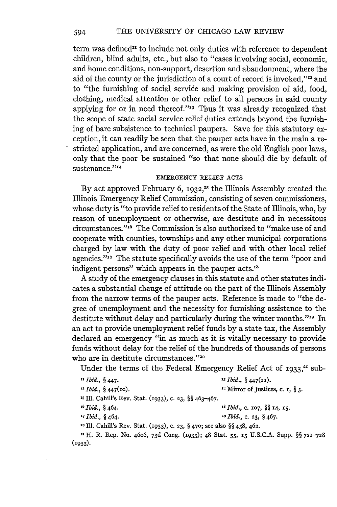term was defined" to include not only duties with reference to dependent children, blind adults, etc., but also to "cases involving social, economic, and home conditions, non-support, desertion and abandonment, where the aid of the county or the jurisdiction of a court of record is invoked,"<sup>12</sup> and to "the furnishing of social service and making provision of aid, food, clothing, medical attention or other relief to all persons in said county applying for or in need thereof." $\frac{1}{3}$  Thus it was already recognized that the scope of state social service relief duties extends beyond the furnishing of bare subsistence to technical paupers. Save for this statutory exception, it can readily be seen that the pauper acts have in the main a restricted application, and are concerned, as were the old English poor laws, only that the poor be sustained "so that none should die by default of sustenance."<sup>14</sup>

### EMERGENCY RELIEF **ACTS**

By act approved February 6, 1932,<sup>15</sup> the Illinois Assembly created the Illinois Emergency Relief Commission, consisting of seven commissioners, whose duty is "to provide relief to residents of the State of Illinois, who, by reason of unemployment or otherwise, are destitute and in necessitous circumstances."<sup>16</sup> The Commission is also authorized to "make use of and cooperate with counties, townships and any other municipal corporations charged by law with the duty of poor relief and with other local relief agencies."<sup>17</sup> The statute specifically avoids the use of the term "poor and indigent persons" which appears in the pauper acts.<sup>18</sup>

A study of the emergency clauses in this statute and other statutes indicates a substantial change of attitude on the part of the Illinois Assembly from the narrow terms of the pauper acts. Reference is made to "the degree of unemployment and the necessity for furnishing assistance to the destitute without delay and particularly during the winter months."<sup>19</sup> In an act to provide unemployment relief funds by a state tax, the Assembly declared an emergency "in as much as it is vitally necessary to provide funds without delay for the relief of the hundreds of thousands of persons who are in destitute circumstances."<sup>24</sup>

Under the terms of the Federal Emergency Relief Act of **1933,"** sub-

| $\frac{11}{}$ Ibid., § 447.                                                                                | <sup>13</sup> <i>Ibid.</i> , § 447(11).            |
|------------------------------------------------------------------------------------------------------------|----------------------------------------------------|
| <sup>12</sup> <i>Ibid.</i> , § 447(10).                                                                    | <sup>14</sup> Mirror of Justices, c. $\tau$ , § 3. |
| <sup>15</sup> Ill. Cahill's Rev. Stat. (1933), c. 23, §§ 463-467.                                          |                                                    |
| <sup>16</sup> <i>Ibid.</i> , § 464.                                                                        | $18$ <i>Ibid.</i> , c. 107, $\S$ 14, 15.           |
| <sup>17</sup> <i>Ibid.</i> , § 464.                                                                        | <sup>19</sup> <i>Ibid.</i> , c. 23, § 467.         |
| 20 TH Cabilly Rev. Stat $(\text{real})$ c as $\frac{8}{100}$ see also $\frac{88}{100}$ is $\frac{10}{100}$ |                                                    |

2 Ill. Cahil's Rev. Stat. ('933), **C. 23, §** 470; see also **H8** 458, 462.

21H. R. Rep. No. 46o6, **73d** Cong. **(i933);** 48 Stat. **55,** 15 U.S.C.A. Supp. **§** 721-728 (1933).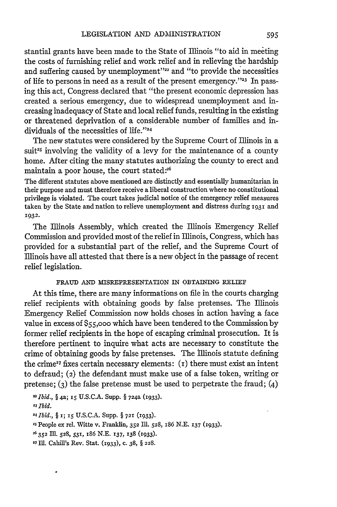stantial grants have been made to the State of Illinois "to aid in meeting the costs of furnishing relief and work relief and in relieving the hardship and suffering caused by unemployment"<sup>222</sup> and "to provide the necessities of life to persons in need as a result of the present emergency."<sup>23</sup> In passing this act, Congress declared that "the present economic depression has created a serious emergency, due to widespread unemployment and increasing inadequacy of State and local relief funds, resulting in the existing or threatened deprivation of a considerable number of families and individuals of the necessities of life."24

The new statutes were considered by the Supreme Court of Illinois in a suit<sup>25</sup> involving the validity of a levy for the maintenance of a county home. After citing the many statutes authorizing the county to erect and maintain a poor house, the court stated:<sup>26</sup>

The different statutes above mentioned are distinctly and essentially humanitarian in their purpose and must therefore receive a liberal construction where no constitutional privilege is violated. The court takes judicial notice of the emergency relief measures taken by the State and nation to relieve unemployment and distress during 1931 and 1932.

The Illinois Assembly, which created the Illinois Emergency Relief Commission and provided most of the relief in Illinois, Congress, which has provided for a substantial part of the relief, and the Supreme Court of Illinois have all attested that there is a new object in the passage of recent relief legislation.

### **FRAUD AND MISREPRESENTATION** IN OBTAINING RELIEF

At this time, there are many informations on file in the courts charging relief recipients with obtaining goods by false pretenses. The Illinois Emergency Relief Commission now holds choses in action having a face value in excess of **\$55,000** which have been tendered to the Commission by former relief recipients in the hope of escaping criminal prosecution. It is therefore pertinent to inquire what acts are necessary to constitute the crime of obtaining goods by false pretenses. The Illinois statute defining the crime<sup>27</sup> fixes certain necessary elements:  $(i)$  there must exist an intent to defraud; (2) the defendant must make use of a false token, writing or pretense;  $(3)$  the false pretense must be used to perpetrate the fraud;  $(4)$ 

*-Ibid.,* § **4a; I5 U.S.C.A. Supp.** § 724a **(1933).**

**23** *Ibid.*

*241bid., § 1;* 15 **U.S.C.A.** Supp. § **721** (1933).

**<sup>25</sup>**People ex rel. Witte v. Franklin, 352 Il. **528,** 186 N.E. **137** (1933).

**<sup>26352</sup>***IMl.* **528,** *531,* **x86** N.E. 137, 138 (i933).

**27 Ill.** Cahill's Rev. Stat. (i933), c. 38, **§ 228.**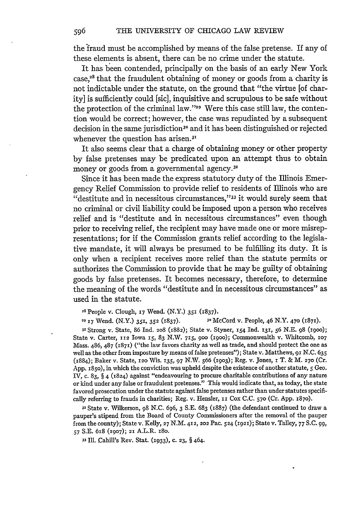the fraud must be accomplished by means of the false pretense. If any of these elements is absent, there can be no crime under the statute.

It has been contended, principally on the basis of an early New York case,<sup>28</sup> that the fraudulent obtaining of money or goods from a charity is not indictable under the statute, on the ground that "the virtue [of charity] is sufficiently could [sic], inquisitive and scrupulous to be safe without the protection of the criminal law."<sup>29</sup> Were this case still law, the contention would be correct; however, the case was repudiated by a subsequent decision in the same jurisdiction<sup>30</sup> and it has been distinguished or rejected whenever the question has arisen.<sup>31</sup>

It also seems clear that a charge of obtaining money or other property by false pretenses may be predicated upon an attempt thus to obtain money or goods from a governmental agency.<sup>32</sup>

Since it has been made the express statutory duty of the Illinois Emergency Relief Commission to provide relief to residents of Illinois who are "destitute and in necessitous circumstances,"<sup>33</sup> it would surely seem that no criminal or civil liability could be imposed upon a person who receives relief and is "destitute and in necessitous circumstances" even though prior to receiving relief, the recipient may have made one or more misrepresentations; for if the Commission grants relief according to the legislative mandate, it will always be presumed to be fulfilling its duty. It is only when a recipient receives more relief than the statute permits or authorizes the Commission to provide that he may be guilty of obtaining goods by false pretenses. It becomes necessary, therefore, to determine the meaning of the words "destitute and in necessitous circumstances" as used in the statute.

28 People v. Clough, **17** Wend. (N.Y.) **35,** (837).

**29 17** Wend. (N.Y.) **351, 352 (1837). 30** McCord v. People, 46 **N.Y. 470 (1871).**

**3'** Strong v. State, **86** Ind. **208** (1882); State v. Styner, *154* Ind. **3i, 56** N.E. **98** (igoo); State v. Carter, **112** Iowa *i5,* **83** N.W. **715, 900** (I9oo); Commonwealth v. Whitcomb, **107** Mass. 486, **487 (1871)** ("the law favors charity as well as trade, and should protect the one as well as the other from imposture by means of false pretenses"); State v. Matthews, **91** N.C. *635* (1884); Baker v. State, **120** Wis. **135,** 97 N.W. 566 **(903);** Reg. v. Jones, **i** T. & M. **270** (Cr. App. i85o), in which the conviction was upheld despite the existence of another statute, *5* Geo. IV, c. 83, § 4 (1824) against "endeavouring to procure charitable contributions of any nature or kind under any false or fraudulent pretenses." This would indicate that, as today, the state favored prosecution under the statute against false pretenses rather than under statutes specifically referring to frauds in charities; Reg. v. Hensler, **ii** Cox C.C. **570** (Cr. App. 1870).

32 State v. Wilkerson, **98** N.C. 696, **3** S.E. 683 (887) (the defendant continued to draw a pauper's stipend from the Board of County Commissioners after the removal of the pauper from the county); State v. Kelly, **27** N.M. 412, 202 Pac. 524 **(I92I);** State v. Talley, **77 S.C.** *99,* 57 S.E. 618 **(1907); 21** A.L.R. iSo.

**33** Ill..Cahill's Rev. Stat. **(1933),** c. **23,** § 464.

596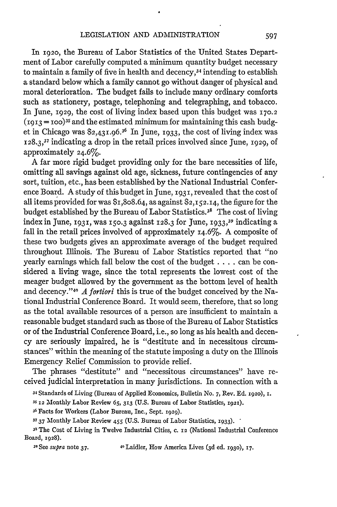In **1920,** the Bureau of Labor Statistics of the United States Department of Labor carefully computed a minimum quantity budget necessary to maintain a family of five in health and decency,<sup>34</sup> intending to establish a standard below which a family cannot go without danger of physical and moral deterioration. The budget fails to include many ordinary comforts such as stationery, postage, telephoning and telegraphing, and tobacco. In June, 1929, the cost of living index based upon this budget was **170.2 (1913** = xoo)<sup>3</sup> 5 and the estimated minimum for maintaining this cash budget in Chicago was \$2,431.96.36 In June, 1933, the cost of living index was i28.3, 37 indicating a drop in the retail prices involved since June, 1929, of approximately 24.6%.

A far more rigid budget providing only for the bare necessities of life, omitting all savings against old age, sickness, future contingencies of any sort, tuition, etc., has been established by the National Industrial Conference Board. A study of this budget in June, **193 1,** revealed that the cost of all items provided for was \$i,8o8.64, as against \$2,152. **14,** the figure for the budget established by the Bureau of Labor Statistics.<sup>38</sup> The cost of living index in June, **1931,** was **150.3** against **128.3** for June, 1933, 39 indicating a fall in the retail prices involved of approximately  $14.6\%$ . A composite of these two budgets gives an approximate average of the budget required throughout Illinois. The Bureau of Labor Statistics reported that "no yearly earnings which fall below the cost of the budget .... can be considered a living wage, since the total represents the lowest cost of the meager budget allowed by the government as the bottom level of health and decency."<sup>40</sup> A fortiori this is true of the budget conceived by the National Industrial Conference Board. It would seem, therefore, that so long as the total available resources of a person are insufficient to maintain a reasonable budget standard such as those of the Bureau of Labor Statistics or of the Industrial Conference Board, i.e., so long as his health and decency are seriously impaired, he is "destitute and in necessitous circumstances" within the meaning of the statute imposing a duty on the Illinois Emergency Relief Commission to provide relief.

The phrases "destitute" and "necessitous circumstances" have received judicial interpretation in many jurisdictions. In connection with a

34 Standards of Living (Bureau of Applied Economics, Bulletin No. **7,** Rev. **Ed.** 192o), **i.**

<sup>35</sup> 12 Monthly Labor Review 65, 313 (U.S. Bureau of Labor Statistics, 1921).

**-6** Facts for Workers (Labor Bureau, Inc., Sept. 1929).

**3737** Monthly Labor Review 455 **(U.S.** Bureau of Labor Statistics, 1933).

**31** The Cost of Living in Twelve Industrial Cities, c. **12** (National Industrial Conference Board, **1928).**

**39** See *supra* note **37.** 40 Laidler, How America Lives **(3d** ed. 1930), **x7.**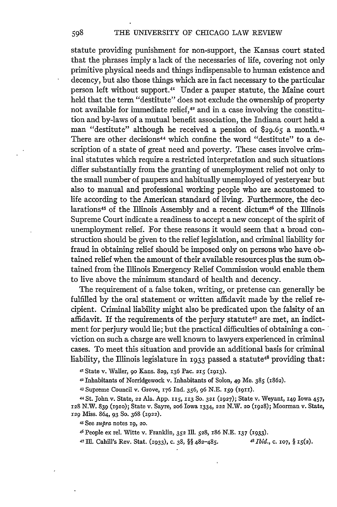statute providing punishment for non-support, the Kansas court stated that the phrases imply a lack of the necessaries of life, covering not only primitive physical needs and things indispensable to human existence and decency, but also those things which are in fact necessary to the particular person left without support.4' Under a pauper statute, the Maine court held that the term "destitute" does not exclude the ownership of property not available for immediate relief,<sup>42</sup> and in a case involving the constitution and by-laws of a mutual benefit association, the Indiana court held a man "destitute" although he received a pension of \$29.65 a month.43 There are other decisions<sup>44</sup> which confine the word "destitute" to a description of a state of great need and poverty. These cases involve criminal statutes which require a restricted interpretation and such situations differ substantially from the granting of unemployment relief not only to the small number of paupers and habitually unemployed of yesteryear but also to manual and professional working people who are accustomed to life according to the American standard of living. Furthermore, the declarations<sup>45</sup> of the Illinois Assembly and a recent dictum<sup>46</sup> of the Illinois Supreme Court indicate a readiness to accept a new concept of the spirit of unemployment relief. For these reasons it would seem that a broad construction should be given to the relief legislation, and criminal liability for fraud in obtaining relief should be imposed only on persons who have obtained relief when the amount of their available resources plus the sum obtained from the Illinois Emergency Relief Commission would enable them to live above the minimum standard of health and decency.

The requirement of a false token, writing, or pretense can generally be fulfilled by the oral statement or written affidavit made by the relief recipient. Criminal liability might also be predicated upon the falsity of an affidavit. If the requirements of the perjury statute<sup>47</sup> are met, an indictment for perjury would lie; but the practical difficulties of obtaining a conviction on such a charge are well known to lawyers experienced in criminal cases. To meet this situation and provide an additional basis for criminal liability, the Illinois legislature in 1933 passed a statute<sup>48</sup> providing that:

41 State v. Waller, **go** Kans. **829, 136** Pac. *215* **(1913).**

42 Inhabitants of Norridgewock v. Inhabitants of Solon, 49 Me. **385** (1862).

43 Supreme Council v. Grove, **176** Ind. *356,* **96 N.E.** *I59* (igii).

44 St. John v. State, 22 Ala. **App. 115, 113 So. 321** (1927); State v. Weyant, **149** Iowa 457, **128** N.W. **839 (igio);** State v. Sayre, 2o6 Iowa 1334, 222 N.W. **20** (1928); Moorman v. State, x29 Miss. 864, **93 So. 368** (X922).

4s *See supra* notes **i9, 20.**

46 People ex rel. Witte v. Franklin, **352** Ill. **528, i86 N.E. 137** (i933).

47 **Ill.** Cahill's Rev. Stat. (i933), c. **38,** §§ 482-485. *48 Ibid.,* c. **107,** § 15(2).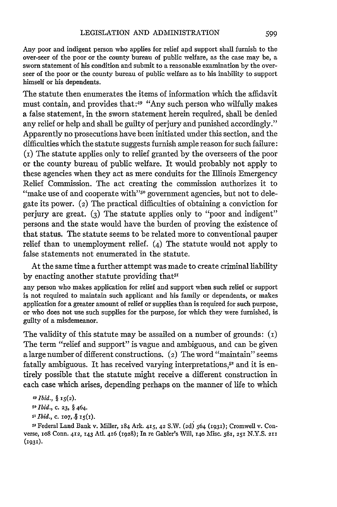Any poor and indigent person who applies for relief and support shall furnish to the over-seer of the poor or the county bureau of public welfare, as the case may be, a sworn statement of his condition and submit to a reasonable examination **by** the overseer of the poor or the county bureau of public welfare as to his inability to support himself or his dependents.

The statute then enumerates the items of information which the affidavit must contain, and provides that:<sup>49</sup> "Any such person who wilfully makes a false statement, in the sworn statement herein required, shall be denied any relief or help and shall be guilty of perjury and punished accordingly." Apparently no prosecutions have been initiated under this section, and the difficulties which the statute suggests furnish ample reason for such failure: **(i)** The statute applies only to relief granted **by** the overseers of the poor or the county bureau of public welfare. It would probably not apply to these agencies when they act as mere conduits for the Illinois Emergency Relief Commission. The act creating the commission authorizes it to "make use of and cooperate with"<sup>50</sup> government agencies, but not to delegate its power. **(2)** The practical difficulties of obtaining a conviction for perjury are great. **(3)** The statute applies only to "poor and indigent" persons and the state would have the burden of proving the existence of that status. The statute seems to be related more to conventional pauper relief than to unemployment relief. **(4)** The statute would not apply to false statements not enumerated in the statute.

At the same time a further attempt was made to create criminal liability by enacting another statute providing that<sup>51</sup>

any person who makes application for relief and support when such relief or support is not required to maintain such applicant and his family or dependents, or makes application for a greater amount of relief or supplies than is required for such purpose, or who does not use such supplies for the purpose, for which they were furnished, is guilty of a misdemeanor.

The validity of this statute may be assailed on a number of grounds: **(i)** The term "relief and support" is vague and ambiguous, and can be given a large number of different constructions. **(2)** The word "maintain" seems fatally ambiguous. It has received varying interpretations, $52$  and it is entirely possible that the statute might receive a different construction in each case which arises, depending perhaps on the manner of life to which

**49** *Ibid., §* **15(2 ) .**

*<sup>10</sup>Ibid.,* **c. 23, §** 464.

*s Ibid.,* c. **107, .§** *X5(5).*

**s,** Federal Land Bank v. Miller, **184** Ark. **415, 42** S.W. **(2d)** 564 **(1931);** Cromwell v. Converse, **zo8** Conn. **412, 143** At. **46** (1928); In re Gabler's Will, **140** Misc. **581, 255 N.Y.S. 211 (193).**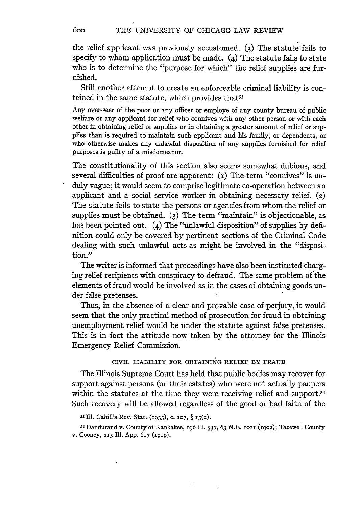the relief applicant was previously accustomed. **(3)** The statute fails to specify to whom application must be made. (4) The statute fails to state who is to determine the "purpose for which" the relief supplies are furnished.

Still another attempt to create an enforceable criminal liability is contained in the same statute, which provides that<sup>53</sup>

Any over-seer of the poor or any officer or employe of any county bureau of public welfare or any applicant for relief who connives with any other person or with each other in obtaining relief or supplies or in obtaining a greater amount of relief or supplies than is required to maintain such applicant and his family, or dependents, or who otherwise makes any unlawful disposition of any supplies furnished for relief purposes is guilty of a misdemeanor.

The constitutionality of this section also seems somewhat dubious, and several difficulties of proof are apparent:  $(r)$  The term "connives" is unduly vague; it would seem to comprise legitimate co-operation between an applicant and a social service worker in obtaining necessary relief. (2) The statute fails to state the persons or agencies from whom the relief or supplies must be obtained. **(3)** The term "maintain" is objectionable, as has been pointed out. (4) The "unlawful disposition" of supplies by definition could only be covered by pertinent sections of the Criminal Code dealing with such unlawful acts as might be involved in the "disposition."

The writer is informed that proceedings have also been instituted charging relief recipients with conspiracy to defraud. The same problem of the elements of fraud would be involved as in the cases of obtaining goods under false pretenses.

Thus, in the absence of a clear and provable case of perjury, it would seem that the only practical method of prosecution for fraud in obtaining unemployment relief would be under the statute against false pretenses. This is in fact the attitude now taken by the attorney for the Illinois Emergency Relief Commission.

## CIVIL LIABILITY **FOR** OBTAINIG RELIEF BY **FRAUD**

The Illinois Supreme Court has held that public bodies may recover for support against persons (or their estates) who were not actually paupers within the statutes at the time they were receiving relief and support.<sup>54</sup> Such recovery will be allowed regardless of the good or bad faith of the

*S3* **l.** Cahill's Rev. Stat. **(1933),** c. **107, §** 15(2).

*S4* Dandurand v. County of Kankakee, **i96** Ill. 537, **63** N.E. ion **(1902);** Tazewell County v. Cooney, **215** Ill. **App. 617** (1919).

боо